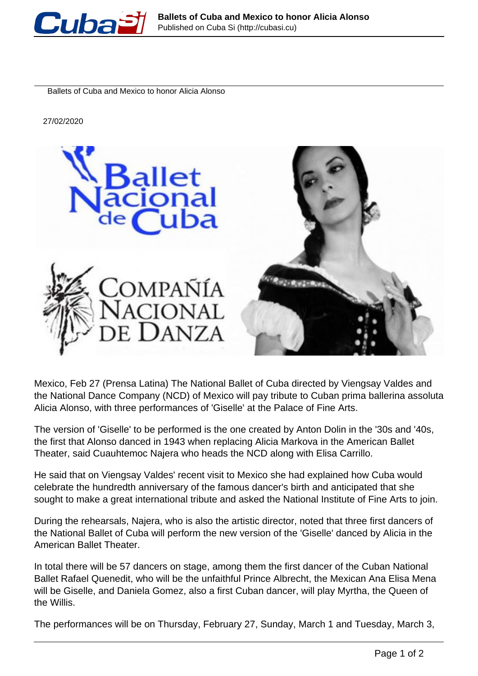

Ballets of Cuba and Mexico to honor Alicia Alonso

27/02/2020



Mexico, Feb 27 (Prensa Latina) The National Ballet of Cuba directed by Viengsay Valdes and the National Dance Company (NCD) of Mexico will pay tribute to Cuban prima ballerina assoluta Alicia Alonso, with three performances of 'Giselle' at the Palace of Fine Arts.

The version of 'Giselle' to be performed is the one created by Anton Dolin in the '30s and '40s, the first that Alonso danced in 1943 when replacing Alicia Markova in the American Ballet Theater, said Cuauhtemoc Najera who heads the NCD along with Elisa Carrillo.

He said that on Viengsay Valdes' recent visit to Mexico she had explained how Cuba would celebrate the hundredth anniversary of the famous dancer's birth and anticipated that she sought to make a great international tribute and asked the National Institute of Fine Arts to join.

During the rehearsals, Najera, who is also the artistic director, noted that three first dancers of the National Ballet of Cuba will perform the new version of the 'Giselle' danced by Alicia in the American Ballet Theater.

In total there will be 57 dancers on stage, among them the first dancer of the Cuban National Ballet Rafael Quenedit, who will be the unfaithful Prince Albrecht, the Mexican Ana Elisa Mena will be Giselle, and Daniela Gomez, also a first Cuban dancer, will play Myrtha, the Queen of the Willis.

The performances will be on Thursday, February 27, Sunday, March 1 and Tuesday, March 3,